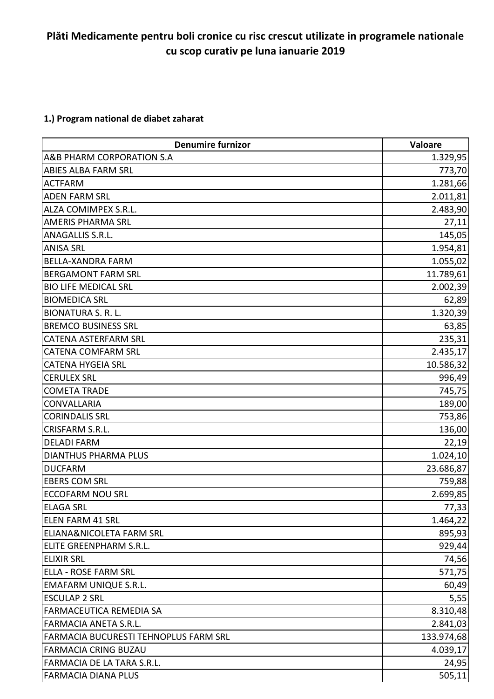## **Plăti Medicamente pentru boli cronice cu risc crescut utilizate in programele nationale cu scop curativ pe luna ianuarie 2019**

### **1.) Program national de diabet zaharat**

| <b>Denumire furnizor</b>                     | Valoare    |
|----------------------------------------------|------------|
| A&B PHARM CORPORATION S.A                    | 1.329,95   |
| <b>ABIES ALBA FARM SRL</b>                   | 773,70     |
| <b>ACTFARM</b>                               | 1.281,66   |
| <b>ADEN FARM SRL</b>                         | 2.011,81   |
| ALZA COMIMPEX S.R.L.                         | 2.483,90   |
| <b>AMERIS PHARMA SRL</b>                     | 27,11      |
| <b>ANAGALLIS S.R.L.</b>                      | 145,05     |
| <b>ANISA SRL</b>                             | 1.954,81   |
| <b>BELLA-XANDRA FARM</b>                     | 1.055,02   |
| <b>BERGAMONT FARM SRL</b>                    | 11.789,61  |
| <b>BIO LIFE MEDICAL SRL</b>                  | 2.002,39   |
| <b>BIOMEDICA SRL</b>                         | 62,89      |
| <b>BIONATURA S. R. L.</b>                    | 1.320,39   |
| <b>BREMCO BUSINESS SRL</b>                   | 63,85      |
| <b>CATENA ASTERFARM SRL</b>                  | 235,31     |
| <b>CATENA COMFARM SRL</b>                    | 2.435,17   |
| <b>CATENA HYGEIA SRL</b>                     | 10.586,32  |
| <b>CERULEX SRL</b>                           | 996,49     |
| <b>COMETA TRADE</b>                          | 745,75     |
| <b>CONVALLARIA</b>                           | 189,00     |
| <b>CORINDALIS SRL</b>                        | 753,86     |
| CRISFARM S.R.L.                              | 136,00     |
| <b>DELADI FARM</b>                           | 22,19      |
| <b>DIANTHUS PHARMA PLUS</b>                  | 1.024,10   |
| <b>DUCFARM</b>                               | 23.686,87  |
| <b>EBERS COM SRL</b>                         | 759,88     |
| <b>ECCOFARM NOU SRL</b>                      | 2.699,85   |
| <b>ELAGA SRL</b>                             | 77,33      |
| ELEN FARM 41 SRL                             | 1.464,22   |
| <b>ELIANA&amp;NICOLETA FARM SRL</b>          | 895,93     |
| ELITE GREENPHARM S.R.L.                      | 929,44     |
| <b>ELIXIR SRL</b>                            | 74,56      |
| <b>ELLA - ROSE FARM SRL</b>                  | 571,75     |
| <b>EMAFARM UNIQUE S.R.L.</b>                 | 60,49      |
| <b>ESCULAP 2 SRL</b>                         | 5,55       |
| FARMACEUTICA REMEDIA SA                      | 8.310,48   |
| <b>FARMACIA ANETA S.R.L.</b>                 | 2.841,03   |
| <b>FARMACIA BUCURESTI TEHNOPLUS FARM SRL</b> | 133.974,68 |
| <b>FARMACIA CRING BUZAU</b>                  | 4.039,17   |
| FARMACIA DE LA TARA S.R.L.                   | 24,95      |
| <b>FARMACIA DIANA PLUS</b>                   | 505,11     |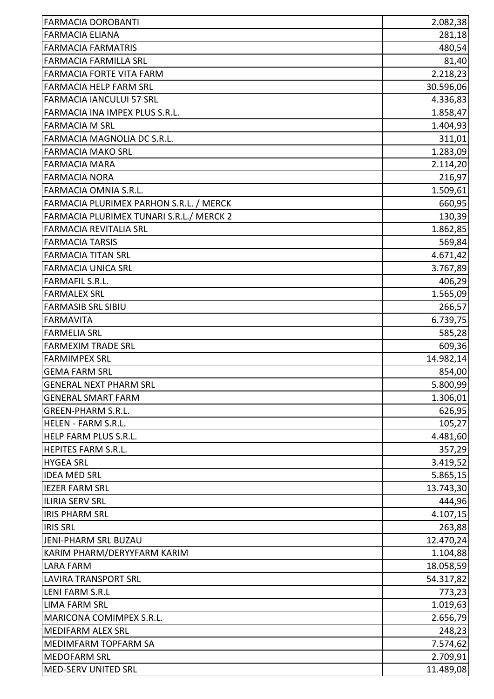| <b>FARMACIA DOROBANTI</b>                | 2.082,38  |
|------------------------------------------|-----------|
| <b>FARMACIA ELIANA</b>                   | 281,18    |
| <b>FARMACIA FARMATRIS</b>                | 480,54    |
| <b>FARMACIA FARMILLA SRL</b>             | 81,40     |
| <b>FARMACIA FORTE VITA FARM</b>          | 2.218,23  |
| <b>FARMACIA HELP FARM SRL</b>            | 30.596,06 |
| <b>FARMACIA IANCULUI 57 SRL</b>          | 4.336,83  |
| FARMACIA INA IMPEX PLUS S.R.L.           | 1.858,47  |
| <b>FARMACIA M SRL</b>                    | 1.404,93  |
| FARMACIA MAGNOLIA DC S.R.L.              | 311,01    |
| <b>FARMACIA MAKO SRL</b>                 | 1.283,09  |
| <b>FARMACIA MARA</b>                     | 2.114,20  |
| <b>FARMACIA NORA</b>                     | 216,97    |
| <b>FARMACIA OMNIA S.R.L.</b>             | 1.509,61  |
| FARMACIA PLURIMEX PARHON S.R.L. / MERCK  | 660,95    |
| FARMACIA PLURIMEX TUNARI S.R.L./ MERCK 2 | 130,39    |
| <b>FARMACIA REVITALIA SRL</b>            | 1.862,85  |
| <b>FARMACIA TARSIS</b>                   | 569,84    |
| <b>FARMACIA TITAN SRL</b>                | 4.671,42  |
| <b>FARMACIA UNICA SRL</b>                | 3.767,89  |
| <b>FARMAFIL S.R.L.</b>                   | 406,29    |
| <b>FARMALEX SRL</b>                      | 1.565,09  |
| <b>FARMASIB SRL SIBIU</b>                | 266,57    |
| <b>FARMAVITA</b>                         | 6.739,75  |
| <b>FARMELIA SRL</b>                      | 585,28    |
| <b>FARMEXIM TRADE SRL</b>                | 609,36    |
| <b>FARMIMPEX SRL</b>                     | 14.982,14 |
| <b>GEMA FARM SRL</b>                     | 854,00    |
| lGENERAL NEXT PHARM SRL                  | 5.800,99  |
| <b>GENERAL SMART FARM</b>                | 1.306,01  |
| <b>GREEN-PHARM S.R.L.</b>                | 626,95    |
| HELEN - FARM S.R.L.                      | 105,27    |
| HELP FARM PLUS S.R.L.                    | 4.481,60  |
| <b>HEPITES FARM S.R.L.</b>               | 357,29    |
| <b>HYGEA SRL</b>                         | 3.419,52  |
| <b>IDEA MED SRL</b>                      | 5.865,15  |
| <b>IEZER FARM SRL</b>                    | 13.743,30 |
| <b>ILIRIA SERV SRL</b>                   | 444,96    |
| <b>IRIS PHARM SRL</b>                    | 4.107,15  |
| <b>IRIS SRL</b>                          | 263,88    |
| JENI-PHARM SRL BUZAU                     | 12.470,24 |
| KARIM PHARM/DERYYFARM KARIM              | 1.104,88  |
| <b>LARA FARM</b>                         | 18.058,59 |
| <b>LAVIRA TRANSPORT SRL</b>              | 54.317,82 |
| <b>LENI FARM S.R.L</b>                   | 773,23    |
| <b>LIMA FARM SRL</b>                     | 1.019,63  |
| MARICONA COMIMPEX S.R.L.                 | 2.656,79  |
| <b>MEDIFARM ALEX SRL</b>                 | 248,23    |
| MEDIMFARM TOPFARM SA                     | 7.574,62  |
| <b>MEDOFARM SRL</b>                      | 2.709,91  |
| MED-SERV UNITED SRL                      | 11.489,08 |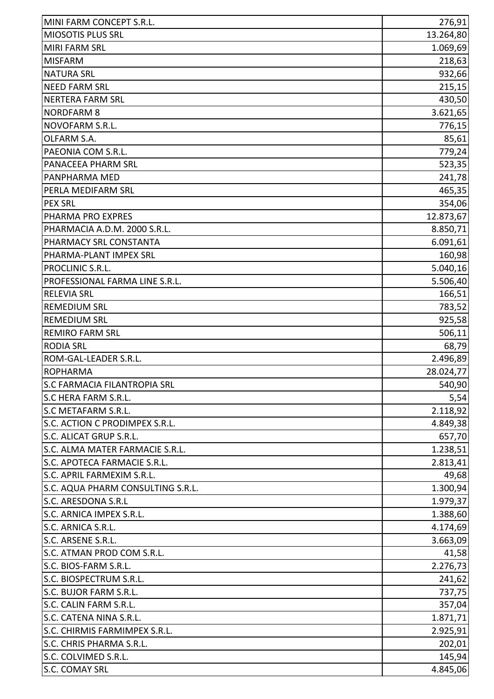| MIOSOTIS PLUS SRL<br>13.264,80<br><b>MIRI FARM SRL</b><br>1.069,69<br><b>MISFARM</b><br>218,63<br>932,66<br><b>NATURA SRL</b><br><b>NEED FARM SRL</b><br>215,15<br>NERTERA FARM SRL<br><b>NORDFARM 8</b><br>NOVOFARM S.R.L.<br>OLFARM S.A.<br>PAEONIA COM S.R.L.<br>PANACEEA PHARM SRL<br>PANPHARMA MED<br>PERLA MEDIFARM SRL<br><b>PEX SRL</b><br>PHARMA PRO EXPRES<br>PHARMACIA A.D.M. 2000 S.R.L.<br>PHARMACY SRL CONSTANTA<br>PHARMA-PLANT IMPEX SRL<br>PROCLINIC S.R.L.<br>PROFESSIONAL FARMA LINE S.R.L.<br><b>RELEVIA SRL</b><br><b>REMEDIUM SRL</b><br><b>REMEDIUM SRL</b><br><b>REMIRO FARM SRL</b><br><b>RODIA SRL</b><br>ROM-GAL-LEADER S.R.L.<br><b>ROPHARMA</b><br>S.C FARMACIA FILANTROPIA SRL<br><b>S.C HERA FARM S.R.L.</b><br>S.C METAFARM S.R.L.<br>S.C. ACTION C PRODIMPEX S.R.L.<br>S.C. ALICAT GRUP S.R.L.<br>S.C. ALMA MATER FARMACIE S.R.L.<br>S.C. APOTECA FARMACIE S.R.L.<br>S.C. APRIL FARMEXIM S.R.L.<br>S.C. AQUA PHARM CONSULTING S.R.L.<br>S.C. ARESDONA S.R.L<br>S.C. ARNICA IMPEX S.R.L.<br>S.C. ARNICA S.R.L.<br>S.C. ARSENE S.R.L.<br>S.C. ATMAN PROD COM S.R.L.<br>S.C. BIOS-FARM S.R.L.<br>S.C. BIOSPECTRUM S.R.L.<br>S.C. BUJOR FARM S.R.L.<br>S.C. CALIN FARM S.R.L.<br>S.C. CATENA NINA S.R.L.<br>1.871,71<br>S.C. CHIRMIS FARMIMPEX S.R.L.<br>S.C. CHRIS PHARMA S.R.L.<br>S.C. COLVIMED S.R.L.<br><b>S.C. COMAY SRL</b> | MINI FARM CONCEPT S.R.L. | 276,91   |
|-----------------------------------------------------------------------------------------------------------------------------------------------------------------------------------------------------------------------------------------------------------------------------------------------------------------------------------------------------------------------------------------------------------------------------------------------------------------------------------------------------------------------------------------------------------------------------------------------------------------------------------------------------------------------------------------------------------------------------------------------------------------------------------------------------------------------------------------------------------------------------------------------------------------------------------------------------------------------------------------------------------------------------------------------------------------------------------------------------------------------------------------------------------------------------------------------------------------------------------------------------------------------------------------------------------------------------------------------------------------|--------------------------|----------|
|                                                                                                                                                                                                                                                                                                                                                                                                                                                                                                                                                                                                                                                                                                                                                                                                                                                                                                                                                                                                                                                                                                                                                                                                                                                                                                                                                                 |                          |          |
|                                                                                                                                                                                                                                                                                                                                                                                                                                                                                                                                                                                                                                                                                                                                                                                                                                                                                                                                                                                                                                                                                                                                                                                                                                                                                                                                                                 |                          |          |
|                                                                                                                                                                                                                                                                                                                                                                                                                                                                                                                                                                                                                                                                                                                                                                                                                                                                                                                                                                                                                                                                                                                                                                                                                                                                                                                                                                 |                          |          |
|                                                                                                                                                                                                                                                                                                                                                                                                                                                                                                                                                                                                                                                                                                                                                                                                                                                                                                                                                                                                                                                                                                                                                                                                                                                                                                                                                                 |                          |          |
| 430,50<br>3.621,65<br>776,15<br>85,61                                                                                                                                                                                                                                                                                                                                                                                                                                                                                                                                                                                                                                                                                                                                                                                                                                                                                                                                                                                                                                                                                                                                                                                                                                                                                                                           |                          |          |
|                                                                                                                                                                                                                                                                                                                                                                                                                                                                                                                                                                                                                                                                                                                                                                                                                                                                                                                                                                                                                                                                                                                                                                                                                                                                                                                                                                 |                          |          |
|                                                                                                                                                                                                                                                                                                                                                                                                                                                                                                                                                                                                                                                                                                                                                                                                                                                                                                                                                                                                                                                                                                                                                                                                                                                                                                                                                                 |                          |          |
|                                                                                                                                                                                                                                                                                                                                                                                                                                                                                                                                                                                                                                                                                                                                                                                                                                                                                                                                                                                                                                                                                                                                                                                                                                                                                                                                                                 |                          |          |
| 779,24<br>523,35<br>241,78<br>465,35<br>354,06<br>12.873,67<br>8.850,71<br>6.091,61<br>160,98<br>5.040,16<br>5.506,40<br>166,51<br>783,52<br>925,58<br>506,11<br>68,79<br>2.496,89<br>28.024,77<br>657,70<br>1.238,51<br>2.813,41<br>49,68<br>1.300,94<br>1.979,37<br>1.388,60<br>4.174,69<br>3.663,09<br>41,58<br>737,75<br>357,04<br>202,01<br>145,94<br>4.845,06                                                                                                                                                                                                                                                                                                                                                                                                                                                                                                                                                                                                                                                                                                                                                                                                                                                                                                                                                                                             |                          |          |
|                                                                                                                                                                                                                                                                                                                                                                                                                                                                                                                                                                                                                                                                                                                                                                                                                                                                                                                                                                                                                                                                                                                                                                                                                                                                                                                                                                 |                          |          |
|                                                                                                                                                                                                                                                                                                                                                                                                                                                                                                                                                                                                                                                                                                                                                                                                                                                                                                                                                                                                                                                                                                                                                                                                                                                                                                                                                                 |                          |          |
|                                                                                                                                                                                                                                                                                                                                                                                                                                                                                                                                                                                                                                                                                                                                                                                                                                                                                                                                                                                                                                                                                                                                                                                                                                                                                                                                                                 |                          |          |
|                                                                                                                                                                                                                                                                                                                                                                                                                                                                                                                                                                                                                                                                                                                                                                                                                                                                                                                                                                                                                                                                                                                                                                                                                                                                                                                                                                 |                          |          |
|                                                                                                                                                                                                                                                                                                                                                                                                                                                                                                                                                                                                                                                                                                                                                                                                                                                                                                                                                                                                                                                                                                                                                                                                                                                                                                                                                                 |                          |          |
|                                                                                                                                                                                                                                                                                                                                                                                                                                                                                                                                                                                                                                                                                                                                                                                                                                                                                                                                                                                                                                                                                                                                                                                                                                                                                                                                                                 |                          |          |
|                                                                                                                                                                                                                                                                                                                                                                                                                                                                                                                                                                                                                                                                                                                                                                                                                                                                                                                                                                                                                                                                                                                                                                                                                                                                                                                                                                 |                          |          |
|                                                                                                                                                                                                                                                                                                                                                                                                                                                                                                                                                                                                                                                                                                                                                                                                                                                                                                                                                                                                                                                                                                                                                                                                                                                                                                                                                                 |                          |          |
|                                                                                                                                                                                                                                                                                                                                                                                                                                                                                                                                                                                                                                                                                                                                                                                                                                                                                                                                                                                                                                                                                                                                                                                                                                                                                                                                                                 |                          |          |
|                                                                                                                                                                                                                                                                                                                                                                                                                                                                                                                                                                                                                                                                                                                                                                                                                                                                                                                                                                                                                                                                                                                                                                                                                                                                                                                                                                 |                          |          |
|                                                                                                                                                                                                                                                                                                                                                                                                                                                                                                                                                                                                                                                                                                                                                                                                                                                                                                                                                                                                                                                                                                                                                                                                                                                                                                                                                                 |                          |          |
|                                                                                                                                                                                                                                                                                                                                                                                                                                                                                                                                                                                                                                                                                                                                                                                                                                                                                                                                                                                                                                                                                                                                                                                                                                                                                                                                                                 |                          |          |
|                                                                                                                                                                                                                                                                                                                                                                                                                                                                                                                                                                                                                                                                                                                                                                                                                                                                                                                                                                                                                                                                                                                                                                                                                                                                                                                                                                 |                          |          |
|                                                                                                                                                                                                                                                                                                                                                                                                                                                                                                                                                                                                                                                                                                                                                                                                                                                                                                                                                                                                                                                                                                                                                                                                                                                                                                                                                                 |                          |          |
|                                                                                                                                                                                                                                                                                                                                                                                                                                                                                                                                                                                                                                                                                                                                                                                                                                                                                                                                                                                                                                                                                                                                                                                                                                                                                                                                                                 |                          |          |
|                                                                                                                                                                                                                                                                                                                                                                                                                                                                                                                                                                                                                                                                                                                                                                                                                                                                                                                                                                                                                                                                                                                                                                                                                                                                                                                                                                 |                          |          |
|                                                                                                                                                                                                                                                                                                                                                                                                                                                                                                                                                                                                                                                                                                                                                                                                                                                                                                                                                                                                                                                                                                                                                                                                                                                                                                                                                                 |                          |          |
|                                                                                                                                                                                                                                                                                                                                                                                                                                                                                                                                                                                                                                                                                                                                                                                                                                                                                                                                                                                                                                                                                                                                                                                                                                                                                                                                                                 |                          |          |
|                                                                                                                                                                                                                                                                                                                                                                                                                                                                                                                                                                                                                                                                                                                                                                                                                                                                                                                                                                                                                                                                                                                                                                                                                                                                                                                                                                 |                          | 540,90   |
|                                                                                                                                                                                                                                                                                                                                                                                                                                                                                                                                                                                                                                                                                                                                                                                                                                                                                                                                                                                                                                                                                                                                                                                                                                                                                                                                                                 |                          | 5,54     |
|                                                                                                                                                                                                                                                                                                                                                                                                                                                                                                                                                                                                                                                                                                                                                                                                                                                                                                                                                                                                                                                                                                                                                                                                                                                                                                                                                                 |                          | 2.118,92 |
|                                                                                                                                                                                                                                                                                                                                                                                                                                                                                                                                                                                                                                                                                                                                                                                                                                                                                                                                                                                                                                                                                                                                                                                                                                                                                                                                                                 |                          | 4.849,38 |
|                                                                                                                                                                                                                                                                                                                                                                                                                                                                                                                                                                                                                                                                                                                                                                                                                                                                                                                                                                                                                                                                                                                                                                                                                                                                                                                                                                 |                          |          |
|                                                                                                                                                                                                                                                                                                                                                                                                                                                                                                                                                                                                                                                                                                                                                                                                                                                                                                                                                                                                                                                                                                                                                                                                                                                                                                                                                                 |                          |          |
|                                                                                                                                                                                                                                                                                                                                                                                                                                                                                                                                                                                                                                                                                                                                                                                                                                                                                                                                                                                                                                                                                                                                                                                                                                                                                                                                                                 |                          |          |
|                                                                                                                                                                                                                                                                                                                                                                                                                                                                                                                                                                                                                                                                                                                                                                                                                                                                                                                                                                                                                                                                                                                                                                                                                                                                                                                                                                 |                          |          |
|                                                                                                                                                                                                                                                                                                                                                                                                                                                                                                                                                                                                                                                                                                                                                                                                                                                                                                                                                                                                                                                                                                                                                                                                                                                                                                                                                                 |                          |          |
|                                                                                                                                                                                                                                                                                                                                                                                                                                                                                                                                                                                                                                                                                                                                                                                                                                                                                                                                                                                                                                                                                                                                                                                                                                                                                                                                                                 |                          |          |
|                                                                                                                                                                                                                                                                                                                                                                                                                                                                                                                                                                                                                                                                                                                                                                                                                                                                                                                                                                                                                                                                                                                                                                                                                                                                                                                                                                 |                          |          |
|                                                                                                                                                                                                                                                                                                                                                                                                                                                                                                                                                                                                                                                                                                                                                                                                                                                                                                                                                                                                                                                                                                                                                                                                                                                                                                                                                                 |                          |          |
|                                                                                                                                                                                                                                                                                                                                                                                                                                                                                                                                                                                                                                                                                                                                                                                                                                                                                                                                                                                                                                                                                                                                                                                                                                                                                                                                                                 |                          |          |
|                                                                                                                                                                                                                                                                                                                                                                                                                                                                                                                                                                                                                                                                                                                                                                                                                                                                                                                                                                                                                                                                                                                                                                                                                                                                                                                                                                 |                          |          |
|                                                                                                                                                                                                                                                                                                                                                                                                                                                                                                                                                                                                                                                                                                                                                                                                                                                                                                                                                                                                                                                                                                                                                                                                                                                                                                                                                                 |                          | 2.276,73 |
|                                                                                                                                                                                                                                                                                                                                                                                                                                                                                                                                                                                                                                                                                                                                                                                                                                                                                                                                                                                                                                                                                                                                                                                                                                                                                                                                                                 |                          | 241,62   |
|                                                                                                                                                                                                                                                                                                                                                                                                                                                                                                                                                                                                                                                                                                                                                                                                                                                                                                                                                                                                                                                                                                                                                                                                                                                                                                                                                                 |                          |          |
|                                                                                                                                                                                                                                                                                                                                                                                                                                                                                                                                                                                                                                                                                                                                                                                                                                                                                                                                                                                                                                                                                                                                                                                                                                                                                                                                                                 |                          |          |
|                                                                                                                                                                                                                                                                                                                                                                                                                                                                                                                                                                                                                                                                                                                                                                                                                                                                                                                                                                                                                                                                                                                                                                                                                                                                                                                                                                 |                          |          |
|                                                                                                                                                                                                                                                                                                                                                                                                                                                                                                                                                                                                                                                                                                                                                                                                                                                                                                                                                                                                                                                                                                                                                                                                                                                                                                                                                                 |                          | 2.925,91 |
|                                                                                                                                                                                                                                                                                                                                                                                                                                                                                                                                                                                                                                                                                                                                                                                                                                                                                                                                                                                                                                                                                                                                                                                                                                                                                                                                                                 |                          |          |
|                                                                                                                                                                                                                                                                                                                                                                                                                                                                                                                                                                                                                                                                                                                                                                                                                                                                                                                                                                                                                                                                                                                                                                                                                                                                                                                                                                 |                          |          |
|                                                                                                                                                                                                                                                                                                                                                                                                                                                                                                                                                                                                                                                                                                                                                                                                                                                                                                                                                                                                                                                                                                                                                                                                                                                                                                                                                                 |                          |          |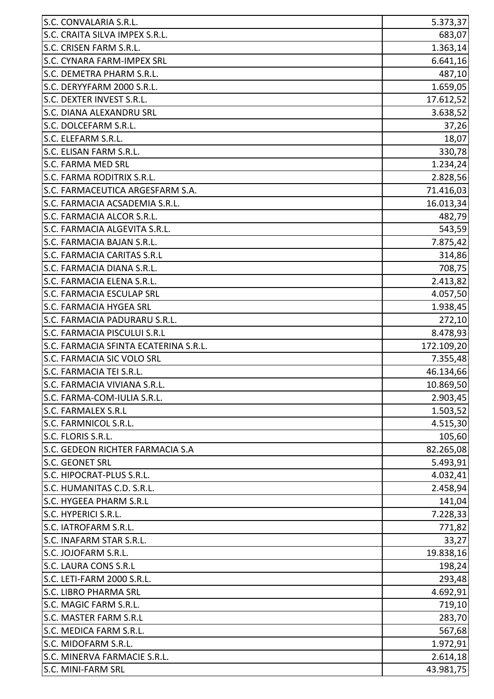| S.C. CONVALARIA S.R.L.                | 5.373,37   |
|---------------------------------------|------------|
| S.C. CRAITA SILVA IMPEX S.R.L.        | 683,07     |
| S.C. CRISEN FARM S.R.L.               | 1.363,14   |
| <b>S.C. CYNARA FARM-IMPEX SRL</b>     | 6.641,16   |
| S.C. DEMETRA PHARM S.R.L.             | 487,10     |
| S.C. DERYYFARM 2000 S.R.L.            | 1.659,05   |
| S.C. DEXTER INVEST S.R.L.             | 17.612,52  |
| S.C. DIANA ALEXANDRU SRL              | 3.638,52   |
| S.C. DOLCEFARM S.R.L.                 | 37,26      |
| S.C. ELEFARM S.R.L.                   | 18,07      |
| S.C. ELISAN FARM S.R.L.               | 330,78     |
| <b>S.C. FARMA MED SRL</b>             | 1.234,24   |
| S.C. FARMA RODITRIX S.R.L.            | 2.828,56   |
| S.C. FARMACEUTICA ARGESFARM S.A.      | 71.416,03  |
| S.C. FARMACIA ACSADEMIA S.R.L.        | 16.013,34  |
| S.C. FARMACIA ALCOR S.R.L.            | 482,79     |
| S.C. FARMACIA ALGEVITA S.R.L.         | 543,59     |
| S.C. FARMACIA BAJAN S.R.L.            | 7.875,42   |
| <b>S.C. FARMACIA CARITAS S.R.L</b>    | 314,86     |
| S.C. FARMACIA DIANA S.R.L.            | 708,75     |
| S.C. FARMACIA ELENA S.R.L.            | 2.413,82   |
| <b>S.C. FARMACIA ESCULAP SRL</b>      | 4.057,50   |
| S.C. FARMACIA HYGEA SRL               | 1.938,45   |
| S.C. FARMACIA PADURARU S.R.L.         | 272,10     |
| <b>S.C. FARMACIA PISCULUI S.R.L</b>   | 8.478,93   |
| S.C. FARMACIA SFINTA ECATERINA S.R.L. | 172.109,20 |
| S.C. FARMACIA SIC VOLO SRL            | 7.355,48   |
| S.C. FARMACIA TEI S.R.L.              | 46.134,66  |
| S.C. FARMACIA VIVIANA S.R.L           | 10.869,50  |
| S.C. FARMA-COM-IULIA S.R.L.           | 2.903,45   |
| <b>S.C. FARMALEX S.R.L</b>            | 1.503,52   |
| S.C. FARMNICOL S.R.L.                 | 4.515,30   |
| S.C. FLORIS S.R.L.                    | 105,60     |
| S.C. GEDEON RICHTER FARMACIA S.A      | 82.265,08  |
| S.C. GEONET SRL                       | 5.493,91   |
| S.C. HIPOCRAT-PLUS S.R.L.             | 4.032,41   |
| S.C. HUMANITAS C.D. S.R.L.            | 2.458,94   |
| S.C. HYGEEA PHARM S.R.L               | 141,04     |
| S.C. HYPERICI S.R.L.                  | 7.228,33   |
| S.C. IATROFARM S.R.L.                 | 771,82     |
| S.C. INAFARM STAR S.R.L.              | 33,27      |
| S.C. JOJOFARM S.R.L.                  | 19.838,16  |
| <b>S.C. LAURA CONS S.R.L</b>          | 198,24     |
| S.C. LETI-FARM 2000 S.R.L.            | 293,48     |
| <b>S.C. LIBRO PHARMA SRL</b>          | 4.692,91   |
| S.C. MAGIC FARM S.R.L.                | 719,10     |
| S.C. MASTER FARM S.R.L                | 283,70     |
| S.C. MEDICA FARM S.R.L.               | 567,68     |
| S.C. MIDOFARM S.R.L.                  | 1.972,91   |
| S.C. MINERVA FARMACIE S.R.L.          | 2.614,18   |
| S.C. MINI-FARM SRL                    | 43.981,75  |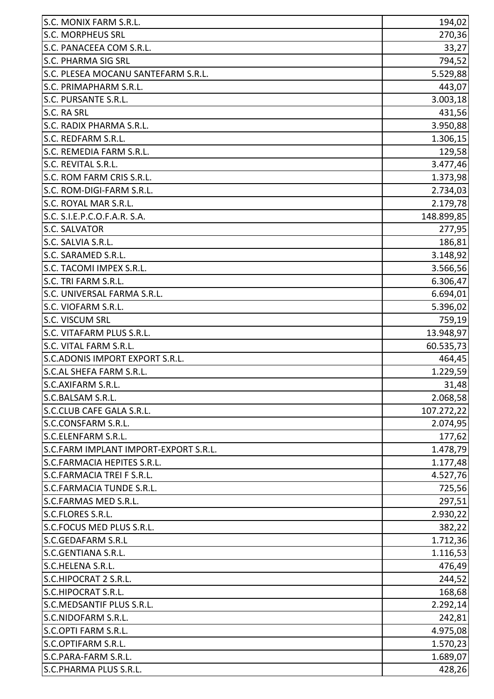| S.C. MONIX FARM S.R.L.                | 194,02     |
|---------------------------------------|------------|
| <b>S.C. MORPHEUS SRL</b>              | 270,36     |
| S.C. PANACEEA COM S.R.L.              | 33,27      |
| S.C. PHARMA SIG SRL                   | 794,52     |
| S.C. PLESEA MOCANU SANTEFARM S.R.L.   | 5.529,88   |
| S.C. PRIMAPHARM S.R.L.                | 443,07     |
| S.C. PURSANTE S.R.L.                  | 3.003,18   |
| S.C. RA SRL                           | 431,56     |
| S.C. RADIX PHARMA S.R.L.              | 3.950,88   |
| S.C. REDFARM S.R.L.                   | 1.306,15   |
| S.C. REMEDIA FARM S.R.L.              | 129,58     |
| S.C. REVITAL S.R.L.                   | 3.477,46   |
| S.C. ROM FARM CRIS S.R.L.             | 1.373,98   |
| S.C. ROM-DIGI-FARM S.R.L.             | 2.734,03   |
| S.C. ROYAL MAR S.R.L.                 | 2.179,78   |
| S.C. S.I.E.P.C.O.F.A.R. S.A.          | 148.899,85 |
| <b>S.C. SALVATOR</b>                  | 277,95     |
| S.C. SALVIA S.R.L.                    | 186,81     |
| S.C. SARAMED S.R.L.                   | 3.148,92   |
| S.C. TACOMI IMPEX S.R.L.              | 3.566,56   |
| S.C. TRI FARM S.R.L.                  | 6.306,47   |
| S.C. UNIVERSAL FARMA S.R.L.           | 6.694,01   |
| S.C. VIOFARM S.R.L.                   | 5.396,02   |
| <b>S.C. VISCUM SRL</b>                | 759,19     |
| S.C. VITAFARM PLUS S.R.L.             | 13.948,97  |
| S.C. VITAL FARM S.R.L.                | 60.535,73  |
| S.C.ADONIS IMPORT EXPORT S.R.L.       | 464,45     |
| S.C.AL SHEFA FARM S.R.L.              | 1.229,59   |
| lS.C.AXIFARM S.R.L.                   | 31,48      |
| S.C.BALSAM S.R.L.                     | 2.068,58   |
| S.C.CLUB CAFE GALA S.R.L.             | 107.272,22 |
| S.C.CONSFARM S.R.L.                   | 2.074,95   |
| S.C.ELENFARM S.R.L.                   | 177,62     |
| S.C.FARM IMPLANT IMPORT-EXPORT S.R.L. | 1.478,79   |
| S.C.FARMACIA HEPITES S.R.L.           | 1.177,48   |
| S.C.FARMACIA TREI F S.R.L.            | 4.527,76   |
| <b>S.C.FARMACIA TUNDE S.R.L.</b>      | 725,56     |
| S.C.FARMAS MED S.R.L.                 | 297,51     |
| S.C.FLORES S.R.L.                     | 2.930,22   |
| S.C.FOCUS MED PLUS S.R.L.             | 382,22     |
| <b>S.C.GEDAFARM S.R.L</b>             | 1.712,36   |
| S.C.GENTIANA S.R.L.                   | 1.116,53   |
| S.C.HELENA S.R.L.                     | 476,49     |
| S.C.HIPOCRAT 2 S.R.L.                 | 244,52     |
| S.C.HIPOCRAT S.R.L.                   | 168,68     |
| S.C.MEDSANTIF PLUS S.R.L.             | 2.292,14   |
| S.C.NIDOFARM S.R.L.                   | 242,81     |
| S.C.OPTI FARM S.R.L.                  | 4.975,08   |
| S.C.OPTIFARM S.R.L.                   | 1.570,23   |
| S.C.PARA-FARM S.R.L.                  | 1.689,07   |
| S.C.PHARMA PLUS S.R.L.                | 428,26     |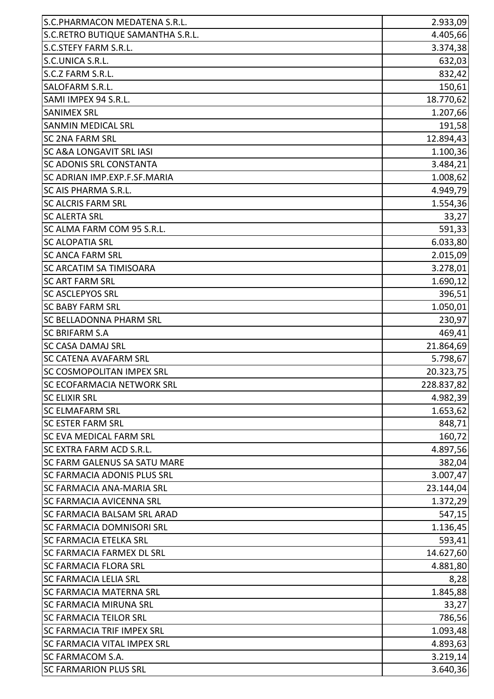| S.C.PHARMACON MEDATENA S.R.L.       | 2.933,09   |
|-------------------------------------|------------|
| S.C.RETRO BUTIQUE SAMANTHA S.R.L.   | 4.405,66   |
| S.C.STEFY FARM S.R.L.               | 3.374,38   |
| S.C.UNICA S.R.L.                    | 632,03     |
| S.C.Z FARM S.R.L.                   | 832,42     |
| SALOFARM S.R.L.                     | 150,61     |
| SAMI IMPEX 94 S.R.L.                | 18.770,62  |
| <b>SANIMEX SRL</b>                  | 1.207,66   |
| <b>SANMIN MEDICAL SRL</b>           | 191,58     |
| <b>SC 2NA FARM SRL</b>              | 12.894,43  |
| <b>SC A&amp;A LONGAVIT SRL IASI</b> | 1.100,36   |
| <b>SC ADONIS SRL CONSTANTA</b>      | 3.484,21   |
| SC ADRIAN IMP.EXP.F.SF.MARIA        | 1.008,62   |
| <b>SC AIS PHARMA S.R.L.</b>         | 4.949,79   |
| <b>SC ALCRIS FARM SRL</b>           | 1.554,36   |
| <b>SC ALERTA SRL</b>                | 33,27      |
| SC ALMA FARM COM 95 S.R.L.          | 591,33     |
| <b>SC ALOPATIA SRL</b>              | 6.033,80   |
| <b>SC ANCA FARM SRL</b>             | 2.015,09   |
| <b>SC ARCATIM SA TIMISOARA</b>      | 3.278,01   |
| <b>SC ART FARM SRL</b>              | 1.690, 12  |
| <b>SC ASCLEPYOS SRL</b>             | 396,51     |
| <b>SC BABY FARM SRL</b>             | 1.050,01   |
| <b>SC BELLADONNA PHARM SRL</b>      | 230,97     |
| <b>SC BRIFARM S.A</b>               | 469,41     |
| <b>SC CASA DAMAJ SRL</b>            | 21.864,69  |
| <b>SC CATENA AVAFARM SRL</b>        | 5.798,67   |
| <b>SC COSMOPOLITAN IMPEX SRL</b>    | 20.323,75  |
| <b>SC ECOFARMACIA NETWORK SRL</b>   | 228.837,82 |
| <b>SC ELIXIR SRL</b>                | 4.982,39   |
| <b>SC ELMAFARM SRL</b>              | 1.653,62   |
| <b>SC ESTER FARM SRL</b>            | 848,71     |
| <b>SC EVA MEDICAL FARM SRL</b>      | 160,72     |
| <b>SC EXTRA FARM ACD S.R.L.</b>     | 4.897,56   |
| <b>SC FARM GALENUS SA SATU MARE</b> | 382,04     |
| <b>SC FARMACIA ADONIS PLUS SRL</b>  | 3.007,47   |
| <b>SC FARMACIA ANA-MARIA SRL</b>    | 23.144,04  |
| <b>SC FARMACIA AVICENNA SRL</b>     | 1.372,29   |
| <b>SC FARMACIA BALSAM SRL ARAD</b>  | 547,15     |
| <b>SC FARMACIA DOMNISORI SRL</b>    | 1.136,45   |
| <b>SC FARMACIA ETELKA SRL</b>       | 593,41     |
| <b>SC FARMACIA FARMEX DL SRL</b>    | 14.627,60  |
| <b>SC FARMACIA FLORA SRL</b>        | 4.881,80   |
| <b>SC FARMACIA LELIA SRL</b>        | 8,28       |
| <b>SC FARMACIA MATERNA SRL</b>      | 1.845,88   |
| <b>SC FARMACIA MIRUNA SRL</b>       | 33,27      |
| <b>SC FARMACIA TEILOR SRL</b>       | 786,56     |
| <b>SC FARMACIA TRIF IMPEX SRL</b>   | 1.093,48   |
| <b>SC FARMACIA VITAL IMPEX SRL</b>  | 4.893,63   |
| SC FARMACOM S.A.                    | 3.219,14   |
| <b>SC FARMARION PLUS SRL</b>        | 3.640,36   |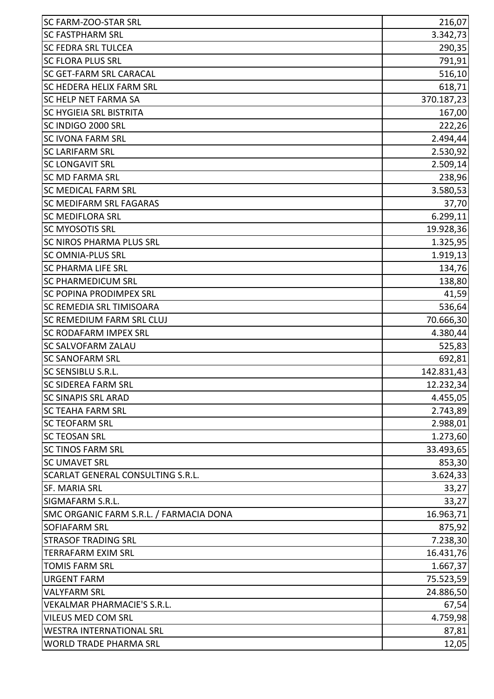| <b>SC FARM-ZOO-STAR SRL</b>              | 216,07     |
|------------------------------------------|------------|
| <b>SC FASTPHARM SRL</b>                  | 3.342,73   |
| <b>SC FEDRA SRL TULCEA</b>               | 290,35     |
| <b>SC FLORA PLUS SRL</b>                 | 791,91     |
| <b>SC GET-FARM SRL CARACAL</b>           | 516,10     |
| <b>SC HEDERA HELIX FARM SRL</b>          | 618,71     |
| <b>SC HELP NET FARMA SA</b>              | 370.187,23 |
| <b>SC HYGIEIA SRL BISTRITA</b>           | 167,00     |
| SC INDIGO 2000 SRL                       | 222,26     |
| <b>SC IVONA FARM SRL</b>                 | 2.494,44   |
| <b>SC LARIFARM SRL</b>                   | 2.530,92   |
| <b>SC LONGAVIT SRL</b>                   | 2.509,14   |
| <b>SC MD FARMA SRL</b>                   | 238,96     |
| <b>SC MEDICAL FARM SRL</b>               | 3.580,53   |
| <b>SC MEDIFARM SRL FAGARAS</b>           | 37,70      |
| <b>SC MEDIFLORA SRL</b>                  | 6.299,11   |
| <b>SC MYOSOTIS SRL</b>                   | 19.928,36  |
| <b>SC NIROS PHARMA PLUS SRL</b>          | 1.325,95   |
| <b>SC OMNIA-PLUS SRL</b>                 | 1.919,13   |
| <b>SC PHARMA LIFE SRL</b>                | 134,76     |
| <b>SC PHARMEDICUM SRL</b>                | 138,80     |
| <b>SC POPINA PRODIMPEX SRL</b>           | 41,59      |
| <b>SC REMEDIA SRL TIMISOARA</b>          | 536,64     |
| <b>SC REMEDIUM FARM SRL CLUJ</b>         | 70.666,30  |
| <b>SC RODAFARM IMPEX SRL</b>             | 4.380,44   |
| <b>SC SALVOFARM ZALAU</b>                | 525,83     |
| <b>SC SANOFARM SRL</b>                   | 692,81     |
| <b>SC SENSIBLU S.R.L.</b>                | 142.831,43 |
| <b>SC SIDEREA FARM SRL</b>               | 12.232,34  |
| <b>SC SINAPIS SRL ARAD</b>               | 4.455,05   |
| <b>SC TEAHA FARM SRL</b>                 | 2.743,89   |
| <b>SC TEOFARM SRL</b>                    | 2.988,01   |
| <b>SC TEOSAN SRL</b>                     | 1.273,60   |
| <b>SC TINOS FARM SRL</b>                 | 33.493,65  |
| <b>SC UMAVET SRL</b>                     | 853,30     |
| <b>SCARLAT GENERAL CONSULTING S.R.L.</b> | 3.624,33   |
| <b>SF. MARIA SRL</b>                     | 33,27      |
| <b>SIGMAFARM S.R.L.</b>                  | 33,27      |
| SMC ORGANIC FARM S.R.L. / FARMACIA DONA  | 16.963,71  |
| <b>SOFIAFARM SRL</b>                     | 875,92     |
| <b>STRASOF TRADING SRL</b>               | 7.238,30   |
| <b>TERRAFARM EXIM SRL</b>                | 16.431,76  |
| <b>TOMIS FARM SRL</b>                    | 1.667,37   |
| <b>URGENT FARM</b>                       | 75.523,59  |
| <b>VALYFARM SRL</b>                      | 24.886,50  |
| <b>VEKALMAR PHARMACIE'S S.R.L.</b>       | 67,54      |
| <b>VILEUS MED COM SRL</b>                | 4.759,98   |
| <b>WESTRA INTERNATIONAL SRL</b>          | 87,81      |
| <b>WORLD TRADE PHARMA SRL</b>            | 12,05      |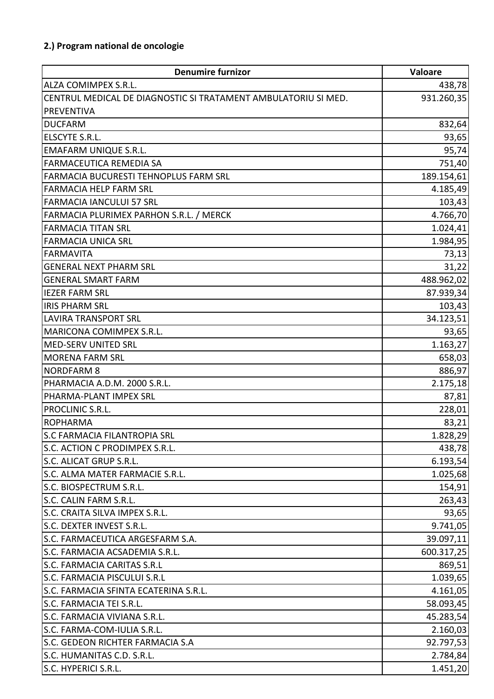| <b>Denumire furnizor</b>                                       | Valoare    |
|----------------------------------------------------------------|------------|
| <b>ALZA COMIMPEX S.R.L.</b>                                    | 438,78     |
| CENTRUL MEDICAL DE DIAGNOSTIC SI TRATAMENT AMBULATORIU SI MED. | 931.260,35 |
| <b>PREVENTIVA</b>                                              |            |
| <b>DUCFARM</b>                                                 | 832,64     |
| ELSCYTE S.R.L.                                                 | 93,65      |
| <b>EMAFARM UNIQUE S.R.L.</b>                                   | 95,74      |
| <b>FARMACEUTICA REMEDIA SA</b>                                 | 751,40     |
| <b>FARMACIA BUCURESTI TEHNOPLUS FARM SRL</b>                   | 189.154,61 |
| <b>FARMACIA HELP FARM SRL</b>                                  | 4.185,49   |
| FARMACIA IANCULUI 57 SRL                                       | 103,43     |
| FARMACIA PLURIMEX PARHON S.R.L. / MERCK                        | 4.766,70   |
| <b>FARMACIA TITAN SRL</b>                                      | 1.024,41   |
| <b>FARMACIA UNICA SRL</b>                                      | 1.984,95   |
| <b>FARMAVITA</b>                                               | 73,13      |
| <b>GENERAL NEXT PHARM SRL</b>                                  | 31,22      |
| <b>GENERAL SMART FARM</b>                                      | 488.962,02 |
| <b>IEZER FARM SRL</b>                                          | 87.939,34  |
| <b>IRIS PHARM SRL</b>                                          | 103,43     |
| <b>LAVIRA TRANSPORT SRL</b>                                    | 34.123,51  |
| <b>MARICONA COMIMPEX S.R.L.</b>                                | 93,65      |
| <b>MED-SERV UNITED SRL</b>                                     | 1.163,27   |
| <b>MORENA FARM SRL</b>                                         | 658,03     |
| <b>NORDFARM 8</b>                                              | 886,97     |
| PHARMACIA A.D.M. 2000 S.R.L.                                   | 2.175,18   |
| PHARMA-PLANT IMPEX SRL                                         | 87,81      |
| <b>PROCLINIC S.R.L.</b>                                        | 228,01     |
| ROPHARMA                                                       | 83,21      |
| S.C FARMACIA FILANTROPIA SRL                                   | 1.828,29   |
| S.C. ACTION C PRODIMPEX S.R.L.                                 | 438,78     |
| S.C. ALICAT GRUP S.R.L.                                        | 6.193,54   |
| S.C. ALMA MATER FARMACIE S.R.L.                                | 1.025,68   |
| S.C. BIOSPECTRUM S.R.L.                                        | 154,91     |
| S.C. CALIN FARM S.R.L.                                         | 263,43     |
| S.C. CRAITA SILVA IMPEX S.R.L.                                 | 93,65      |
| S.C. DEXTER INVEST S.R.L.                                      | 9.741,05   |
| S.C. FARMACEUTICA ARGESFARM S.A.                               | 39.097,11  |
| S.C. FARMACIA ACSADEMIA S.R.L.                                 | 600.317,25 |
| <b>S.C. FARMACIA CARITAS S.R.L</b>                             | 869,51     |
| S.C. FARMACIA PISCULUI S.R.L                                   | 1.039,65   |
| S.C. FARMACIA SFINTA ECATERINA S.R.L.                          | 4.161,05   |
| S.C. FARMACIA TEI S.R.L.                                       | 58.093,45  |
| S.C. FARMACIA VIVIANA S.R.L.                                   | 45.283,54  |
| S.C. FARMA-COM-IULIA S.R.L.                                    | 2.160,03   |
| S.C. GEDEON RICHTER FARMACIA S.A                               | 92.797,53  |
| S.C. HUMANITAS C.D. S.R.L.                                     | 2.784,84   |
| S.C. HYPERICI S.R.L.                                           | 1.451,20   |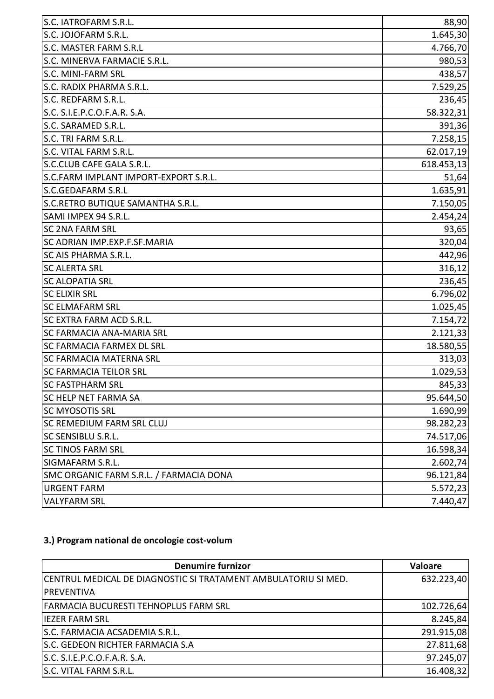| S.C. IATROFARM S.R.L.                   | 88,90      |
|-----------------------------------------|------------|
| S.C. JOJOFARM S.R.L.                    | 1.645,30   |
| S.C. MASTER FARM S.R.L                  | 4.766,70   |
| S.C. MINERVA FARMACIE S.R.L.            | 980,53     |
| S.C. MINI-FARM SRL                      | 438,57     |
| S.C. RADIX PHARMA S.R.L.                | 7.529,25   |
| S.C. REDFARM S.R.L.                     | 236,45     |
| S.C. S.I.E.P.C.O.F.A.R. S.A.            | 58.322,31  |
| S.C. SARAMED S.R.L.                     | 391,36     |
| S.C. TRI FARM S.R.L.                    | 7.258,15   |
| S.C. VITAL FARM S.R.L.                  | 62.017,19  |
| S.C.CLUB CAFE GALA S.R.L.               | 618.453,13 |
| S.C.FARM IMPLANT IMPORT-EXPORT S.R.L.   | 51,64      |
| S.C.GEDAFARM S.R.L                      | 1.635,91   |
| S.C.RETRO BUTIQUE SAMANTHA S.R.L.       | 7.150,05   |
| SAMI IMPEX 94 S.R.L.                    | 2.454,24   |
| <b>SC 2NA FARM SRL</b>                  | 93,65      |
| SC ADRIAN IMP.EXP.F.SF.MARIA            | 320,04     |
| SC AIS PHARMA S.R.L.                    | 442,96     |
| <b>SC ALERTA SRL</b>                    | 316,12     |
| <b>SC ALOPATIA SRL</b>                  | 236,45     |
| <b>SC ELIXIR SRL</b>                    | 6.796,02   |
| <b>SC ELMAFARM SRL</b>                  | 1.025,45   |
| SC EXTRA FARM ACD S.R.L.                | 7.154,72   |
| SC FARMACIA ANA-MARIA SRL               | 2.121,33   |
| SC FARMACIA FARMEX DL SRL               | 18.580,55  |
| SC FARMACIA MATERNA SRL                 | 313,03     |
| <b>SC FARMACIA TEILOR SRL</b>           | 1.029,53   |
| <b>SC FASTPHARM SRL</b>                 | 845,33     |
| <b>SC HELP NET FARMA SA</b>             | 95.644,50  |
| <b>SC MYOSOTIS SRL</b>                  | 1.690,99   |
| <b>SC REMEDIUM FARM SRL CLUJ</b>        | 98.282,23  |
| <b>SC SENSIBLU S.R.L.</b>               | 74.517,06  |
| <b>SC TINOS FARM SRL</b>                | 16.598,34  |
| SIGMAFARM S.R.L.                        | 2.602,74   |
| SMC ORGANIC FARM S.R.L. / FARMACIA DONA | 96.121,84  |
| <b>URGENT FARM</b>                      | 5.572,23   |
| <b>VALYFARM SRL</b>                     | 7.440,47   |

### **3.) Program national de oncologie cost-volum**

| <b>Denumire furnizor</b>                                       | <b>Valoare</b> |
|----------------------------------------------------------------|----------------|
| CENTRUL MEDICAL DE DIAGNOSTIC SI TRATAMENT AMBULATORIU SI MED. | 632.223,40     |
| IPREVENTIVA                                                    |                |
| FARMACIA BUCURESTI TEHNOPLUS FARM SRL                          | 102.726,64     |
| liezer farm Srl                                                | 8.245,84       |
| S.C. FARMACIA ACSADEMIA S.R.L.                                 | 291.915,08     |
| <b>S.C. GEDEON RICHTER FARMACIA S.A</b>                        | 27.811,68      |
| S.C. S.I.E.P.C.O.F.A.R. S.A.                                   | 97.245,07      |
| S.C. VITAL FARM S.R.L.                                         | 16.408,32      |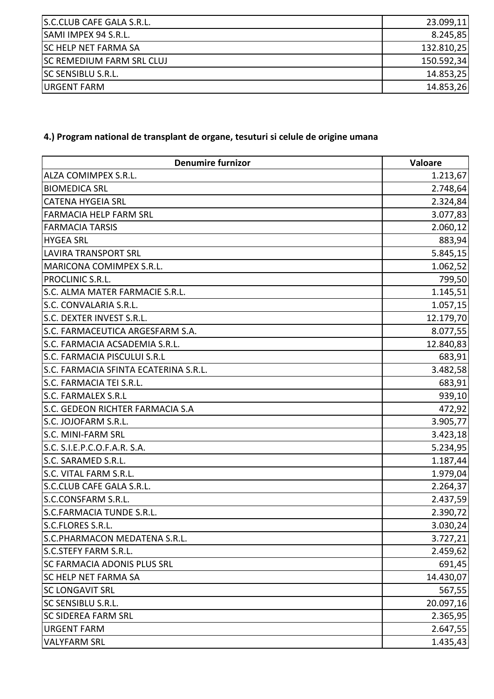| S.C.CLUB CAFE GALA S.R.L.        | 23.099,11  |
|----------------------------------|------------|
| <b>SAMI IMPEX 94 S.R.L.</b>      | 8.245,85   |
| <b>ISC HELP NET FARMA SA</b>     | 132.810,25 |
| <b>SC REMEDIUM FARM SRL CLUJ</b> | 150.592,34 |
| <b>SC SENSIBLU S.R.L.</b>        | 14.853,25  |
| <b>URGENT FARM</b>               | 14.853,26  |

# **4.) Program national de transplant de organe, tesuturi si celule de origine umana**

| <b>Denumire furnizor</b>              | Valoare   |
|---------------------------------------|-----------|
| ALZA COMIMPEX S.R.L.                  | 1.213,67  |
| <b>BIOMEDICA SRL</b>                  | 2.748,64  |
| <b>CATENA HYGEIA SRL</b>              | 2.324,84  |
| <b>FARMACIA HELP FARM SRL</b>         | 3.077,83  |
| <b>FARMACIA TARSIS</b>                | 2.060,12  |
| <b>HYGEA SRL</b>                      | 883,94    |
| <b>LAVIRA TRANSPORT SRL</b>           | 5.845,15  |
| MARICONA COMIMPEX S.R.L.              | 1.062,52  |
| PROCLINIC S.R.L.                      | 799,50    |
| S.C. ALMA MATER FARMACIE S.R.L.       | 1.145,51  |
| S.C. CONVALARIA S.R.L.                | 1.057,15  |
| S.C. DEXTER INVEST S.R.L.             | 12.179,70 |
| S.C. FARMACEUTICA ARGESFARM S.A.      | 8.077,55  |
| S.C. FARMACIA ACSADEMIA S.R.L.        | 12.840,83 |
| S.C. FARMACIA PISCULUI S.R.L          | 683,91    |
| S.C. FARMACIA SFINTA ECATERINA S.R.L. | 3.482,58  |
| S.C. FARMACIA TEI S.R.L.              | 683,91    |
| <b>S.C. FARMALEX S.R.L</b>            | 939,10    |
| S.C. GEDEON RICHTER FARMACIA S.A      | 472,92    |
| S.C. JOJOFARM S.R.L.                  | 3.905,77  |
| S.C. MINI-FARM SRL                    | 3.423,18  |
| S.C. S.I.E.P.C.O.F.A.R. S.A.          | 5.234,95  |
| S.C. SARAMED S.R.L.                   | 1.187,44  |
| S.C. VITAL FARM S.R.L.                | 1.979,04  |
| S.C.CLUB CAFE GALA S.R.L.             | 2.264,37  |
| S.C.CONSFARM S.R.L.                   | 2.437,59  |
| <b>S.C.FARMACIA TUNDE S.R.L.</b>      | 2.390,72  |
| S.C.FLORES S.R.L                      | 3.030,24  |
| S.C.PHARMACON MEDATENA S.R.L.         | 3.727,21  |
| <b>S.C.STEFY FARM S.R.L.</b>          | 2.459,62  |
| <b>SC FARMACIA ADONIS PLUS SRL</b>    | 691,45    |
| <b>SC HELP NET FARMA SA</b>           | 14.430,07 |
| <b>SC LONGAVIT SRL</b>                | 567,55    |
| <b>SC SENSIBLU S.R.L.</b>             | 20.097,16 |
| <b>SC SIDEREA FARM SRL</b>            | 2.365,95  |
| <b>URGENT FARM</b>                    | 2.647,55  |
| <b>VALYFARM SRL</b>                   | 1.435,43  |